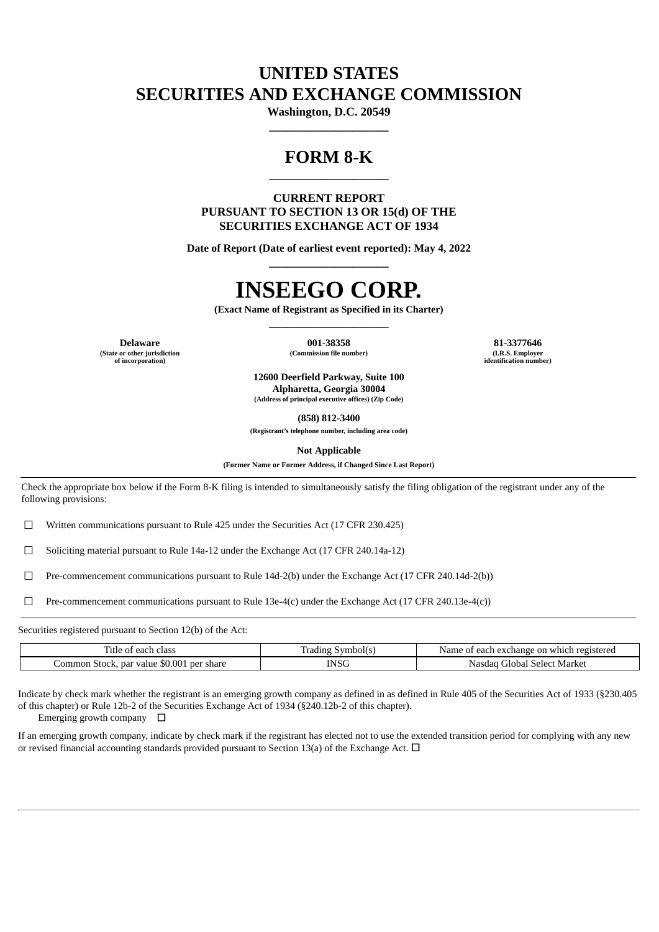## **UNITED STATES SECURITIES AND EXCHANGE COMMISSION**

**Washington, D.C. 20549 \_\_\_\_\_\_\_\_\_\_\_\_\_\_\_\_\_\_\_\_**

## **FORM 8-K \_\_\_\_\_\_\_\_\_\_\_\_\_\_\_\_\_\_\_\_**

**CURRENT REPORT PURSUANT TO SECTION 13 OR 15(d) OF THE SECURITIES EXCHANGE ACT OF 1934**

**Date of Report (Date of earliest event reported): May 4, 2022 \_\_\_\_\_\_\_\_\_\_\_\_\_\_\_\_\_\_\_\_**

## **INSEEGO CORP.**

**(Exact Name of Registrant as Specified in its Charter) \_\_\_\_\_\_\_\_\_\_\_\_\_\_\_\_\_\_\_\_**

**(State or other jurisdiction of incorporation)**

**Delaware 001-38358 81-3377646**  $(Commission file number)$ 

**identification number)**

**12600 Deerfield Parkway, Suite 100 Alpharetta, Georgia 30004 (Address of principal executive offices) (Zip Code)**

**(858) 812-3400**

**(Registrant's telephone number, including area code)**

**Not Applicable**

**(Former Name or Former Address, if Changed Since Last Report)**

Check the appropriate box below if the Form 8-K filing is intended to simultaneously satisfy the filing obligation of the registrant under any of the following provisions:

 $\Box$  Written communications pursuant to Rule 425 under the Securities Act (17 CFR 230.425)

☐ Soliciting material pursuant to Rule 14a-12 under the Exchange Act (17 CFR 240.14a-12)

☐ Pre-commencement communications pursuant to Rule 14d-2(b) under the Exchange Act (17 CFR 240.14d-2(b))

☐ Pre-commencement communications pursuant to Rule 13e-4(c) under the Exchange Act (17 CFR 240.13e-4(c))

Securities registered pursuant to Section 12(b) of the Act:

| –<br>.itle<br>class<br>eact.<br>u                                                 | –<br>symbolt<br>adıng | Name<br>registeren<br>$\cdots$ which<br>. nange 1<br>avch:<br>.or<br>. eac' |  |  |  |  |  |
|-----------------------------------------------------------------------------------|-----------------------|-----------------------------------------------------------------------------|--|--|--|--|--|
| \$0.001<br>' share<br><b>Der</b><br>ommon<br>par value<br>2017<br>. OLUCK.<br>Ddi | -                     | Market<br>' Jobal<br><b>Selec</b><br>Nasdac                                 |  |  |  |  |  |

Indicate by check mark whether the registrant is an emerging growth company as defined in as defined in Rule 405 of the Securities Act of 1933 (§230.405 of this chapter) or Rule 12b-2 of the Securities Exchange Act of 1934 (§240.12b-2 of this chapter).

Emerging growth company  $\Box$ 

If an emerging growth company, indicate by check mark if the registrant has elected not to use the extended transition period for complying with any new or revised financial accounting standards provided pursuant to Section 13(a) of the Exchange Act.  $\Box$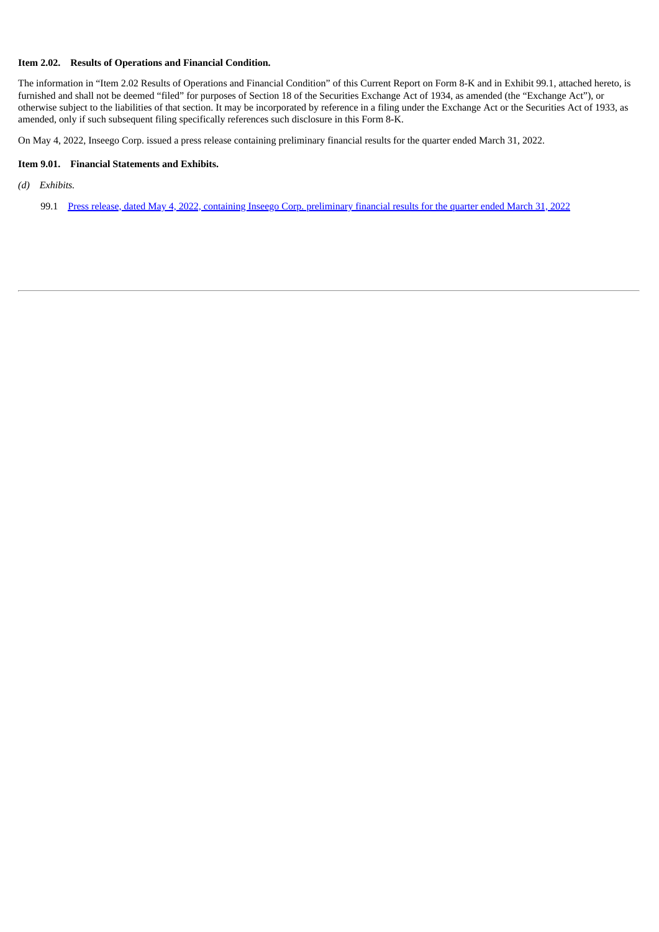### **Item 2.02. Results of Operations and Financial Condition.**

The information in "Item 2.02 Results of Operations and Financial Condition" of this Current Report on Form 8-K and in Exhibit 99.1, attached hereto, is furnished and shall not be deemed "filed" for purposes of Section 18 of the Securities Exchange Act of 1934, as amended (the "Exchange Act"), or otherwise subject to the liabilities of that section. It may be incorporated by reference in a filing under the Exchange Act or the Securities Act of 1933, as amended, only if such subsequent filing specifically references such disclosure in this Form 8-K.

On May 4, 2022, Inseego Corp. issued a press release containing preliminary financial results for the quarter ended March 31, 2022.

#### **Item 9.01. Financial Statements and Exhibits.**

*(d) Exhibits.*

99.1 Press release, dated May 4, 2022, containing Inseego Corp. [preliminary](#page-3-0) financial results for the quarter ended March 31, 2022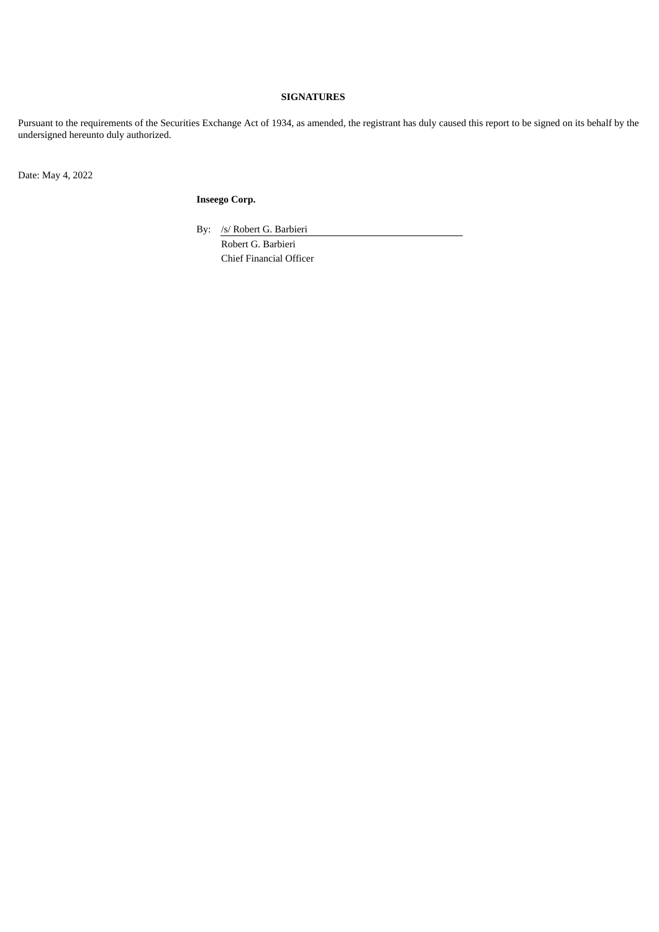## **SIGNATURES**

Pursuant to the requirements of the Securities Exchange Act of 1934, as amended, the registrant has duly caused this report to be signed on its behalf by the undersigned hereunto duly authorized.

Date: May 4, 2022

**Inseego Corp.**

By: /s/ Robert G. Barbieri Robert G. Barbieri

Chief Financial Officer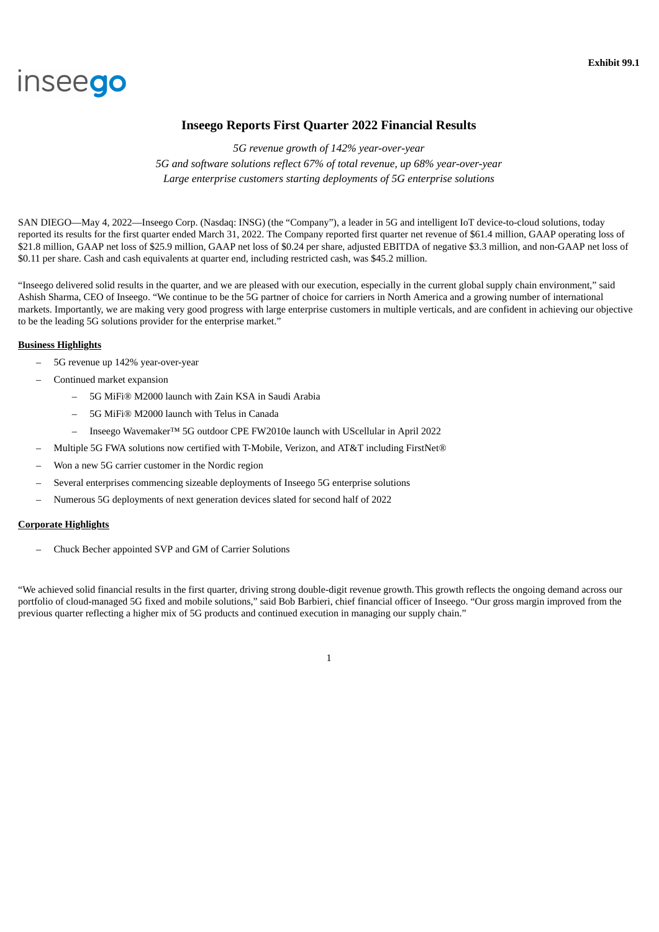# <span id="page-3-0"></span>inseego

## **Inseego Reports First Quarter 2022 Financial Results**

*5G revenue growth of 142% year-over-year 5G and software solutions reflect 67% of total revenue, up 68% year-over-year Large enterprise customers starting deployments of 5G enterprise solutions*

SAN DIEGO—May 4, 2022—Inseego Corp. (Nasdaq: INSG) (the "Company"), a leader in 5G and intelligent IoT device-to-cloud solutions, today reported its results for the first quarter ended March 31, 2022. The Company reported first quarter net revenue of \$61.4 million, GAAP operating loss of \$21.8 million, GAAP net loss of \$25.9 million, GAAP net loss of \$0.24 per share, adjusted EBITDA of negative \$3.3 million, and non-GAAP net loss of \$0.11 per share. Cash and cash equivalents at quarter end, including restricted cash, was \$45.2 million.

"Inseego delivered solid results in the quarter, and we are pleased with our execution, especially in the current global supply chain environment," said Ashish Sharma, CEO of Inseego. "We continue to be the 5G partner of choice for carriers in North America and a growing number of international markets. Importantly, we are making very good progress with large enterprise customers in multiple verticals, and are confident in achieving our objective to be the leading 5G solutions provider for the enterprise market."

## **Business Highlights**

- 5G revenue up 142% year-over-year
- Continued market expansion
	- 5G MiFi® M2000 launch with Zain KSA in Saudi Arabia
	- 5G MiFi® M2000 launch with Telus in Canada
	- Inseego Wavemaker™ 5G outdoor CPE FW2010e launch with UScellular in April 2022
- Multiple 5G FWA solutions now certified with T-Mobile, Verizon, and AT&T including FirstNet®
- Won a new 5G carrier customer in the Nordic region
- Several enterprises commencing sizeable deployments of Inseego 5G enterprise solutions
- Numerous 5G deployments of next generation devices slated for second half of 2022

## **Corporate Highlights**

– Chuck Becher appointed SVP and GM of Carrier Solutions

"We achieved solid financial results in the first quarter, driving strong double-digit revenue growth.This growth reflects the ongoing demand across our portfolio of cloud-managed 5G fixed and mobile solutions," said Bob Barbieri, chief financial officer of Inseego. "Our gross margin improved from the previous quarter reflecting a higher mix of 5G products and continued execution in managing our supply chain."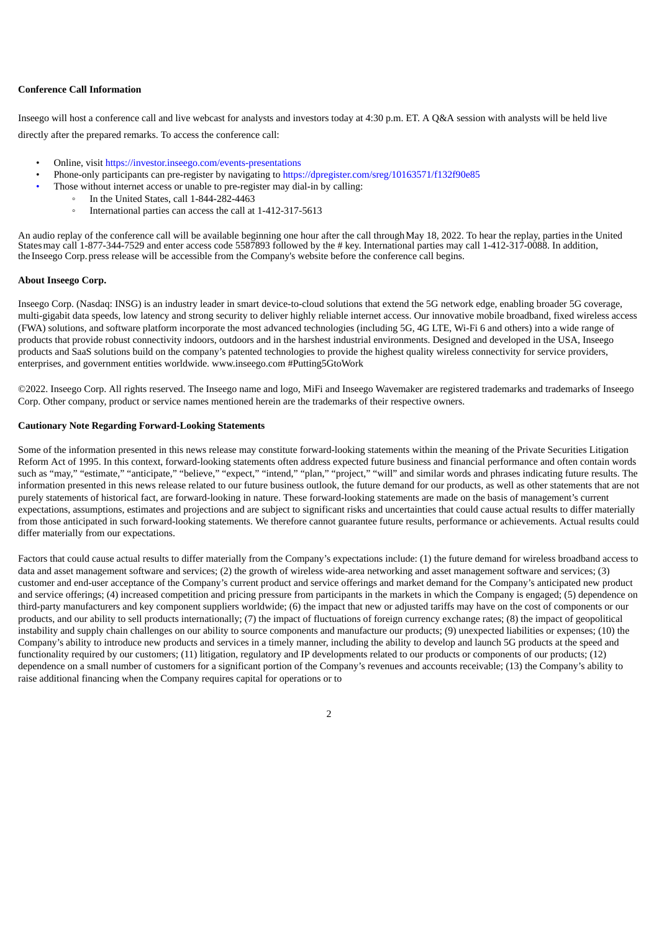## **Conference Call Information**

Inseego will host a conference call and live webcast for analysts and investors today at 4:30 p.m. ET. A Q&A session with analysts will be held live directly after the prepared remarks. To access the conference call:

- Online, visit https://investor.inseego.com/events-presentations
- Phone-only participants can pre-register by navigating to https://dpregister.com/sreg/10163571/f132f90e85
- Those without internet access or unable to pre-register may dial-in by calling:
	- In the United States, call 1-844-282-4463
	- International parties can access the call at 1-412-317-5613

An audio replay of the conference call will be available beginning one hour after the call throughMay 18, 2022. To hear the replay, parties inthe United Statesmay call 1-877-344-7529 and enter access code 5587893 followed by the # key. International parties may call 1-412-317-0088. In addition, the Inseego Corp. press release will be accessible from the Company's website before the conference call begins.

#### **About Inseego Corp.**

Inseego Corp. (Nasdaq: INSG) is an industry leader in smart device-to-cloud solutions that extend the 5G network edge, enabling broader 5G coverage, multi-gigabit data speeds, low latency and strong security to deliver highly reliable internet access. Our innovative mobile broadband, fixed wireless access (FWA) solutions, and software platform incorporate the most advanced technologies (including 5G, 4G LTE, Wi-Fi 6 and others) into a wide range of products that provide robust connectivity indoors, outdoors and in the harshest industrial environments. Designed and developed in the USA, Inseego products and SaaS solutions build on the company's patented technologies to provide the highest quality wireless connectivity for service providers, enterprises, and government entities worldwide. www.inseego.com #Putting5GtoWork

©2022. Inseego Corp. All rights reserved. The Inseego name and logo, MiFi and Inseego Wavemaker are registered trademarks and trademarks of Inseego Corp. Other company, product or service names mentioned herein are the trademarks of their respective owners.

#### **Cautionary Note Regarding Forward-Looking Statements**

Some of the information presented in this news release may constitute forward-looking statements within the meaning of the Private Securities Litigation Reform Act of 1995. In this context, forward-looking statements often address expected future business and financial performance and often contain words such as "may," "estimate," "anticipate," "believe," "expect," "intend," "plan," "project," "will" and similar words and phrases indicating future results. The information presented in this news release related to our future business outlook, the future demand for our products, as well as other statements that are not purely statements of historical fact, are forward-looking in nature. These forward-looking statements are made on the basis of management's current expectations, assumptions, estimates and projections and are subject to significant risks and uncertainties that could cause actual results to differ materially from those anticipated in such forward-looking statements. We therefore cannot guarantee future results, performance or achievements. Actual results could differ materially from our expectations.

Factors that could cause actual results to differ materially from the Company's expectations include: (1) the future demand for wireless broadband access to data and asset management software and services; (2) the growth of wireless wide-area networking and asset management software and services; (3) customer and end-user acceptance of the Company's current product and service offerings and market demand for the Company's anticipated new product and service offerings; (4) increased competition and pricing pressure from participants in the markets in which the Company is engaged; (5) dependence on third-party manufacturers and key component suppliers worldwide; (6) the impact that new or adjusted tariffs may have on the cost of components or our products, and our ability to sell products internationally; (7) the impact of fluctuations of foreign currency exchange rates; (8) the impact of geopolitical instability and supply chain challenges on our ability to source components and manufacture our products; (9) unexpected liabilities or expenses; (10) the Company's ability to introduce new products and services in a timely manner, including the ability to develop and launch 5G products at the speed and functionality required by our customers; (11) litigation, regulatory and IP developments related to our products or components of our products; (12) dependence on a small number of customers for a significant portion of the Company's revenues and accounts receivable; (13) the Company's ability to raise additional financing when the Company requires capital for operations or to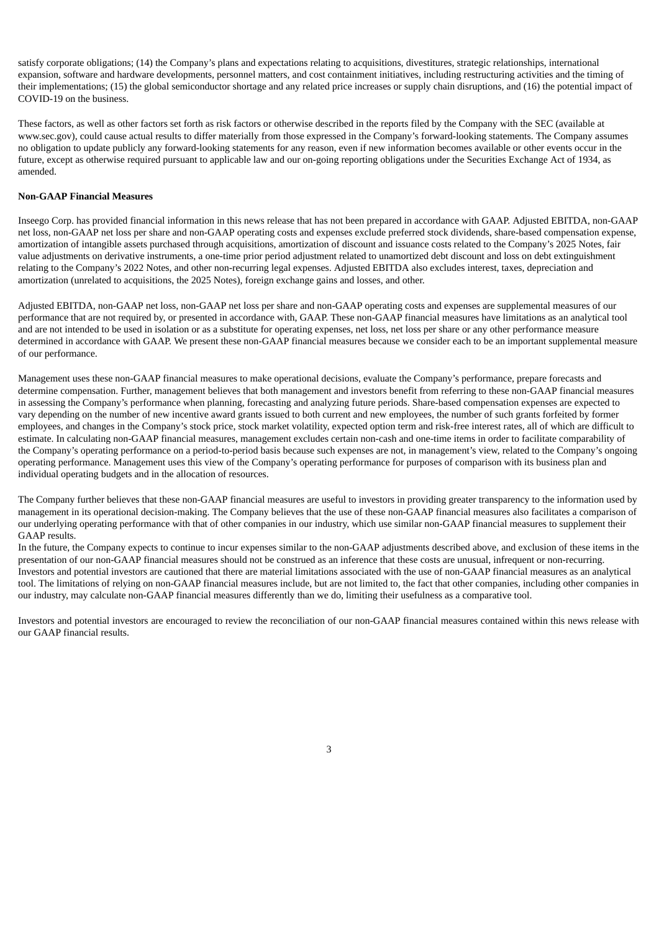satisfy corporate obligations; (14) the Company's plans and expectations relating to acquisitions, divestitures, strategic relationships, international expansion, software and hardware developments, personnel matters, and cost containment initiatives, including restructuring activities and the timing of their implementations; (15) the global semiconductor shortage and any related price increases or supply chain disruptions, and (16) the potential impact of COVID-19 on the business.

These factors, as well as other factors set forth as risk factors or otherwise described in the reports filed by the Company with the SEC (available at www.sec.gov), could cause actual results to differ materially from those expressed in the Company's forward-looking statements. The Company assumes no obligation to update publicly any forward-looking statements for any reason, even if new information becomes available or other events occur in the future, except as otherwise required pursuant to applicable law and our on-going reporting obligations under the Securities Exchange Act of 1934, as amended.

#### **Non-GAAP Financial Measures**

Inseego Corp. has provided financial information in this news release that has not been prepared in accordance with GAAP. Adjusted EBITDA, non-GAAP net loss, non-GAAP net loss per share and non-GAAP operating costs and expenses exclude preferred stock dividends, share-based compensation expense, amortization of intangible assets purchased through acquisitions, amortization of discount and issuance costs related to the Company's 2025 Notes, fair value adjustments on derivative instruments, a one-time prior period adjustment related to unamortized debt discount and loss on debt extinguishment relating to the Company's 2022 Notes, and other non-recurring legal expenses. Adjusted EBITDA also excludes interest, taxes, depreciation and amortization (unrelated to acquisitions, the 2025 Notes), foreign exchange gains and losses, and other.

Adjusted EBITDA, non-GAAP net loss, non-GAAP net loss per share and non-GAAP operating costs and expenses are supplemental measures of our performance that are not required by, or presented in accordance with, GAAP. These non-GAAP financial measures have limitations as an analytical tool and are not intended to be used in isolation or as a substitute for operating expenses, net loss, net loss per share or any other performance measure determined in accordance with GAAP. We present these non-GAAP financial measures because we consider each to be an important supplemental measure of our performance.

Management uses these non-GAAP financial measures to make operational decisions, evaluate the Company's performance, prepare forecasts and determine compensation. Further, management believes that both management and investors benefit from referring to these non-GAAP financial measures in assessing the Company's performance when planning, forecasting and analyzing future periods. Share-based compensation expenses are expected to vary depending on the number of new incentive award grants issued to both current and new employees, the number of such grants forfeited by former employees, and changes in the Company's stock price, stock market volatility, expected option term and risk-free interest rates, all of which are difficult to estimate. In calculating non-GAAP financial measures, management excludes certain non-cash and one-time items in order to facilitate comparability of the Company's operating performance on a period-to-period basis because such expenses are not, in management's view, related to the Company's ongoing operating performance. Management uses this view of the Company's operating performance for purposes of comparison with its business plan and individual operating budgets and in the allocation of resources.

The Company further believes that these non-GAAP financial measures are useful to investors in providing greater transparency to the information used by management in its operational decision-making. The Company believes that the use of these non-GAAP financial measures also facilitates a comparison of our underlying operating performance with that of other companies in our industry, which use similar non-GAAP financial measures to supplement their GAAP results.

In the future, the Company expects to continue to incur expenses similar to the non-GAAP adjustments described above, and exclusion of these items in the presentation of our non-GAAP financial measures should not be construed as an inference that these costs are unusual, infrequent or non-recurring. Investors and potential investors are cautioned that there are material limitations associated with the use of non-GAAP financial measures as an analytical tool. The limitations of relying on non-GAAP financial measures include, but are not limited to, the fact that other companies, including other companies in our industry, may calculate non-GAAP financial measures differently than we do, limiting their usefulness as a comparative tool.

Investors and potential investors are encouraged to review the reconciliation of our non-GAAP financial measures contained within this news release with our GAAP financial results.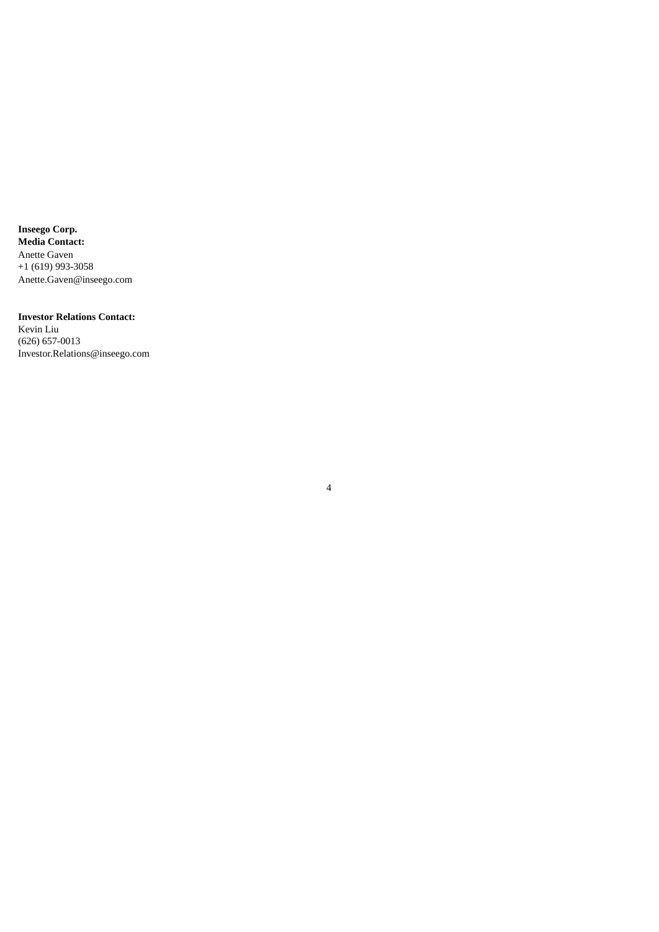**Inseego Corp. Media Contact:** Anette Gaven +1 (619) 993-3058 Anette.Gaven@inseego.com

## **Investor Relations Contact:** Kevin Liu

(626) 657-0013 Investor.Relations@inseego.com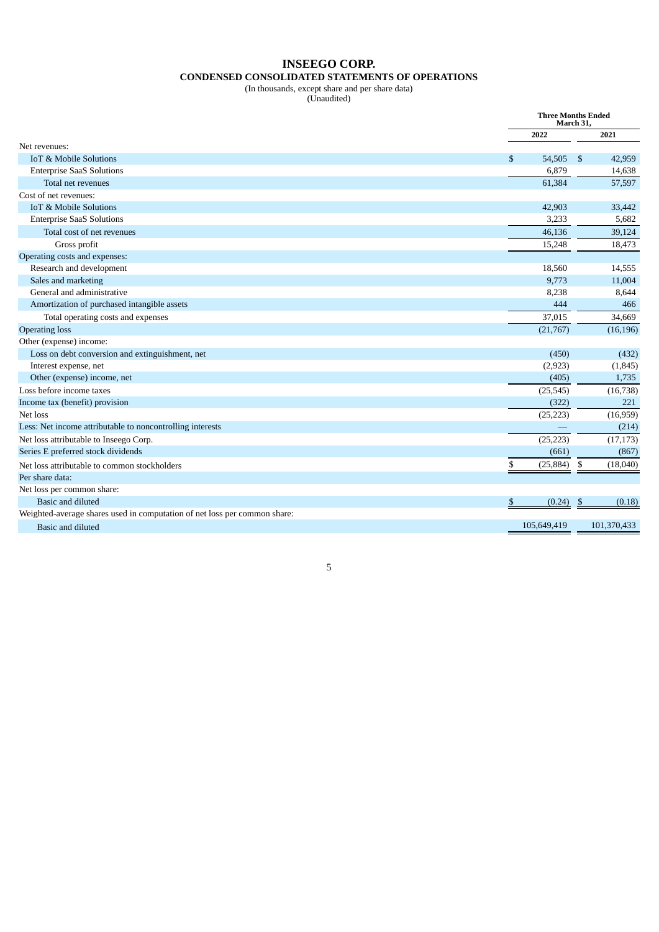## **INSEEGO CORP. CONDENSED CONSOLIDATED STATEMENTS OF OPERATIONS**

#### (In thousands, except share and per share data)

(Unaudited)

|                                                                           |                 | <b>Three Months Ended</b><br>March 31, |
|---------------------------------------------------------------------------|-----------------|----------------------------------------|
|                                                                           | 2022            | 2021                                   |
| Net revenues:                                                             |                 |                                        |
| <b>IoT &amp; Mobile Solutions</b>                                         | \$<br>54,505    | - \$<br>42,959                         |
| <b>Enterprise SaaS Solutions</b>                                          | 6,879           | 14,638                                 |
| Total net revenues                                                        | 61,384          | 57,597                                 |
| Cost of net revenues:                                                     |                 |                                        |
| <b>IoT &amp; Mobile Solutions</b>                                         | 42,903          | 33,442                                 |
| <b>Enterprise SaaS Solutions</b>                                          | 3,233           | 5,682                                  |
| Total cost of net revenues                                                | 46,136          | 39,124                                 |
| Gross profit                                                              | 15,248          | 18,473                                 |
| Operating costs and expenses:                                             |                 |                                        |
| Research and development                                                  | 18,560          | 14,555                                 |
| Sales and marketing                                                       | 9,773           | 11,004                                 |
| General and administrative                                                | 8,238           | 8,644                                  |
| Amortization of purchased intangible assets                               | 444             | 466                                    |
| Total operating costs and expenses                                        | 37,015          | 34,669                                 |
| <b>Operating loss</b>                                                     | (21,767)        | (16, 196)                              |
| Other (expense) income:                                                   |                 |                                        |
| Loss on debt conversion and extinguishment, net                           | (450)           | (432)                                  |
| Interest expense, net                                                     | (2,923)         | (1, 845)                               |
| Other (expense) income, net                                               | (405)           | 1,735                                  |
| Loss before income taxes                                                  | (25, 545)       | (16, 738)                              |
| Income tax (benefit) provision                                            | (322)           | 221                                    |
| Net loss                                                                  | (25, 223)       | (16,959)                               |
| Less: Net income attributable to noncontrolling interests                 |                 | (214)                                  |
| Net loss attributable to Inseego Corp.                                    | (25, 223)       | (17, 173)                              |
| Series E preferred stock dividends                                        | (661)           | (867)                                  |
| Net loss attributable to common stockholders                              | (25, 884)<br>\$ | \$<br>(18,040)                         |
| Per share data:                                                           |                 |                                        |
| Net loss per common share:                                                |                 |                                        |
| Basic and diluted                                                         | (0.24)<br>S     | (0.18)<br>- \$                         |
| Weighted-average shares used in computation of net loss per common share: |                 |                                        |
| <b>Basic and diluted</b>                                                  | 105,649,419     | 101,370,433                            |
|                                                                           |                 |                                        |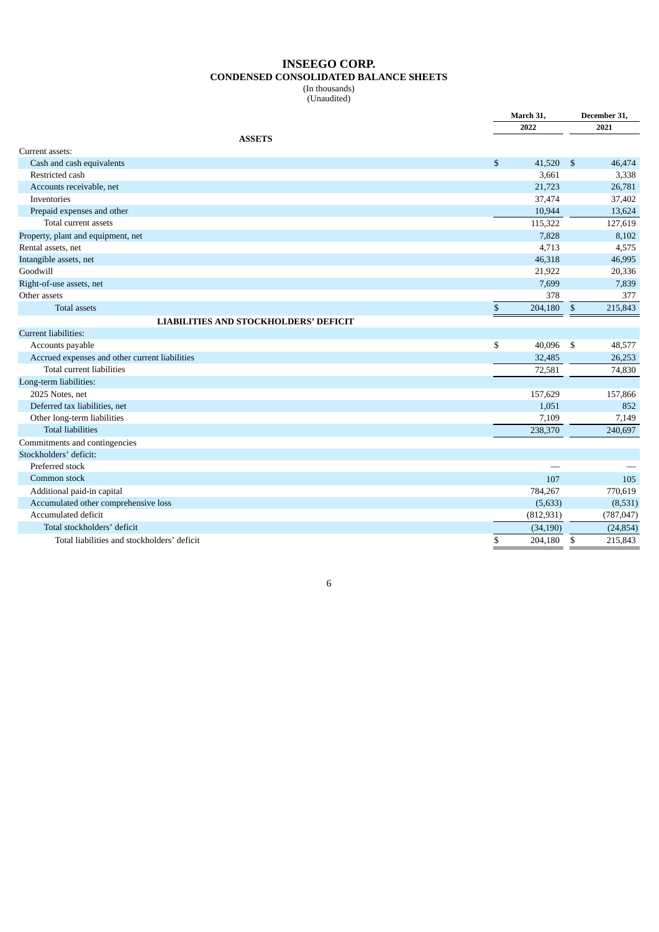## **INSEEGO CORP. CONDENSED CONSOLIDATED BALANCE SHEETS** (In thousands)

(Unaudited)

|                                                |    | March 31,  |                | December 31, |  |
|------------------------------------------------|----|------------|----------------|--------------|--|
|                                                |    | 2022       |                | 2021         |  |
| <b>ASSETS</b>                                  |    |            |                |              |  |
| Current assets:                                |    |            |                |              |  |
| Cash and cash equivalents                      | \$ | 41,520     | $\mathfrak{F}$ | 46,474       |  |
| Restricted cash                                |    | 3,661      |                | 3,338        |  |
| Accounts receivable, net                       |    | 21,723     |                | 26,781       |  |
| Inventories                                    |    | 37,474     |                | 37,402       |  |
| Prepaid expenses and other                     |    | 10,944     |                | 13,624       |  |
| Total current assets                           |    | 115,322    |                | 127,619      |  |
| Property, plant and equipment, net             |    | 7,828      |                | 8,102        |  |
| Rental assets, net                             |    | 4,713      |                | 4,575        |  |
| Intangible assets, net                         |    | 46,318     |                | 46,995       |  |
| Goodwill                                       |    | 21,922     |                | 20,336       |  |
| Right-of-use assets, net                       |    | 7,699      |                | 7,839        |  |
| Other assets                                   |    | 378        |                | 377          |  |
| <b>Total assets</b>                            | \$ | 204,180    | \$             | 215,843      |  |
| <b>LIABILITIES AND STOCKHOLDERS' DEFICIT</b>   |    |            |                |              |  |
| Current liabilities:                           |    |            |                |              |  |
| Accounts payable                               | \$ | 40,096     | \$             | 48,577       |  |
| Accrued expenses and other current liabilities |    | 32,485     |                | 26,253       |  |
| Total current liabilities                      |    | 72,581     |                | 74,830       |  |
| Long-term liabilities:                         |    |            |                |              |  |
| 2025 Notes, net                                |    | 157,629    |                | 157,866      |  |
| Deferred tax liabilities, net                  |    | 1,051      |                | 852          |  |
| Other long-term liabilities                    |    | 7,109      |                | 7,149        |  |
| <b>Total liabilities</b>                       |    | 238,370    |                | 240,697      |  |
| Commitments and contingencies                  |    |            |                |              |  |
| Stockholders' deficit:                         |    |            |                |              |  |
| Preferred stock                                |    |            |                |              |  |
| Common stock                                   |    | 107        |                | 105          |  |
| Additional paid-in capital                     |    | 784,267    |                | 770,619      |  |
| Accumulated other comprehensive loss           |    | (5,633)    |                | (8,531)      |  |
| Accumulated deficit                            |    | (812, 931) |                | (787, 047)   |  |
| Total stockholders' deficit                    |    | (34, 190)  |                | (24, 854)    |  |
| Total liabilities and stockholders' deficit    | \$ | 204,180    | \$             | 215,843      |  |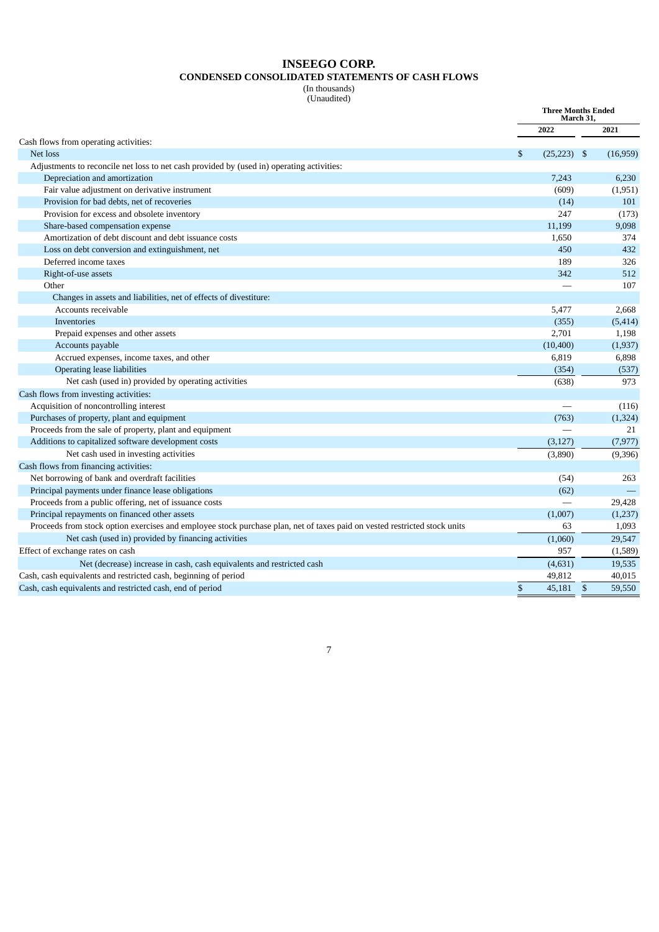## **INSEEGO CORP. CONDENSED CONSOLIDATED STATEMENTS OF CASH FLOWS**

(In thousands) (Unaudited)

|                                                                                                                           | <b>Three Months Ended</b><br>March 31, |               |              |          |
|---------------------------------------------------------------------------------------------------------------------------|----------------------------------------|---------------|--------------|----------|
|                                                                                                                           |                                        | 2022          |              | 2021     |
| Cash flows from operating activities:                                                                                     |                                        |               |              |          |
| Net loss                                                                                                                  | \$                                     | $(25,223)$ \$ |              | (16,959) |
| Adjustments to reconcile net loss to net cash provided by (used in) operating activities:                                 |                                        |               |              |          |
| Depreciation and amortization                                                                                             |                                        | 7,243         |              | 6,230    |
| Fair value adjustment on derivative instrument                                                                            |                                        | (609)         |              | (1,951)  |
| Provision for bad debts, net of recoveries                                                                                |                                        | (14)          |              | 101      |
| Provision for excess and obsolete inventory                                                                               |                                        | 247           |              | (173)    |
| Share-based compensation expense                                                                                          |                                        | 11,199        |              | 9,098    |
| Amortization of debt discount and debt issuance costs                                                                     |                                        | 1,650         |              | 374      |
| Loss on debt conversion and extinguishment, net                                                                           |                                        | 450           |              | 432      |
| Deferred income taxes                                                                                                     |                                        | 189           |              | 326      |
| Right-of-use assets                                                                                                       |                                        | 342           |              | 512      |
| Other                                                                                                                     |                                        |               |              | 107      |
| Changes in assets and liabilities, net of effects of divestiture:                                                         |                                        |               |              |          |
| Accounts receivable                                                                                                       |                                        | 5,477         |              | 2,668    |
| Inventories                                                                                                               |                                        | (355)         |              | (5, 414) |
| Prepaid expenses and other assets                                                                                         |                                        | 2,701         |              | 1,198    |
| Accounts payable                                                                                                          |                                        | (10, 400)     |              | (1, 937) |
| Accrued expenses, income taxes, and other                                                                                 |                                        | 6,819         |              | 6,898    |
| <b>Operating lease liabilities</b>                                                                                        |                                        | (354)         |              | (537)    |
| Net cash (used in) provided by operating activities                                                                       |                                        | (638)         |              | 973      |
| Cash flows from investing activities:                                                                                     |                                        |               |              |          |
| Acquisition of noncontrolling interest                                                                                    |                                        |               |              | (116)    |
| Purchases of property, plant and equipment                                                                                |                                        | (763)         |              | (1, 324) |
| Proceeds from the sale of property, plant and equipment                                                                   |                                        |               |              | 21       |
| Additions to capitalized software development costs                                                                       |                                        | (3, 127)      |              | (7, 977) |
| Net cash used in investing activities                                                                                     |                                        | (3,890)       |              | (9,396)  |
| Cash flows from financing activities:                                                                                     |                                        |               |              |          |
| Net borrowing of bank and overdraft facilities                                                                            |                                        | (54)          |              | 263      |
| Principal payments under finance lease obligations                                                                        |                                        | (62)          |              |          |
| Proceeds from a public offering, net of issuance costs                                                                    |                                        |               |              | 29,428   |
| Principal repayments on financed other assets                                                                             |                                        | (1,007)       |              | (1,237)  |
| Proceeds from stock option exercises and employee stock purchase plan, net of taxes paid on vested restricted stock units |                                        | 63            |              | 1,093    |
| Net cash (used in) provided by financing activities                                                                       |                                        | (1,060)       |              | 29,547   |
| Effect of exchange rates on cash                                                                                          |                                        | 957           |              | (1,589)  |
| Net (decrease) increase in cash, cash equivalents and restricted cash                                                     |                                        | (4,631)       |              | 19,535   |
| Cash, cash equivalents and restricted cash, beginning of period                                                           |                                        | 49,812        |              | 40,015   |
| Cash, cash equivalents and restricted cash, end of period                                                                 | \$                                     | 45,181        | $\mathbf{s}$ | 59,550   |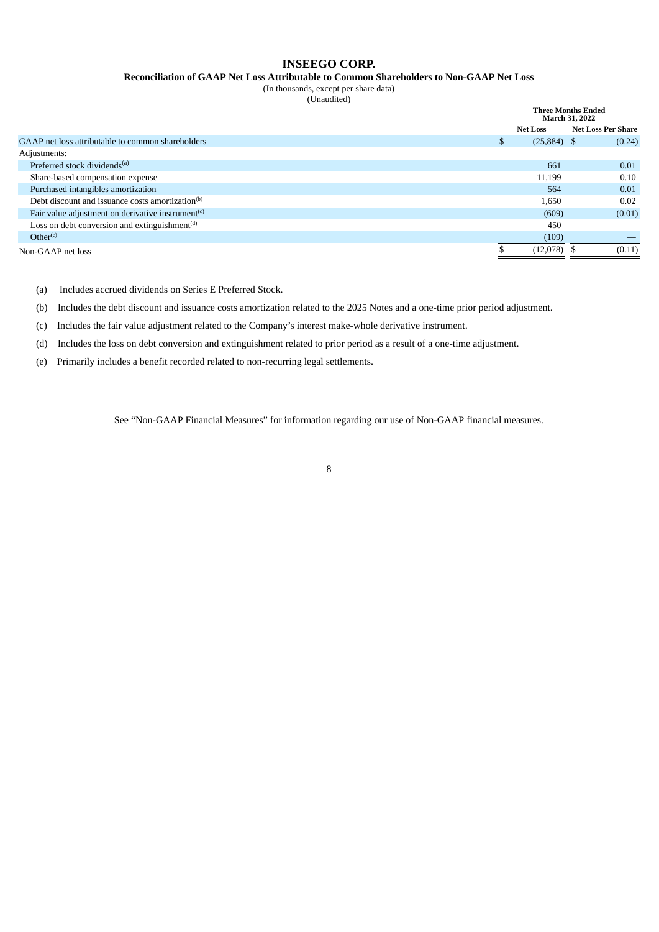## **INSEEGO CORP.**

**Reconciliation of GAAP Net Loss Attributable to Common Shareholders to Non-GAAP Net Loss**

(In thousands, except per share data) (Unaudited)

|                                                               |  | <b>Three Months Ended</b><br>March 31, 2022 |                           |
|---------------------------------------------------------------|--|---------------------------------------------|---------------------------|
|                                                               |  | <b>Net Loss</b>                             | <b>Net Loss Per Share</b> |
| GAAP net loss attributable to common shareholders             |  | $(25,884)$ \$                               | (0.24)                    |
| Adjustments:                                                  |  |                                             |                           |
| Preferred stock dividends <sup>(a)</sup>                      |  | 661                                         | 0.01                      |
| Share-based compensation expense                              |  | 11,199                                      | 0.10                      |
| Purchased intangibles amortization                            |  | 564                                         | 0.01                      |
| Debt discount and issuance costs amortization <sup>(b)</sup>  |  | 1,650                                       | 0.02                      |
| Fair value adjustment on derivative instrument <sup>(c)</sup> |  | (609)                                       | (0.01)                    |
| Loss on debt conversion and extinguishment <sup>(d)</sup>     |  | 450                                         |                           |
| Other <sup>(e)</sup>                                          |  | (109)                                       |                           |
| Non-GAAP net loss                                             |  | $(12,078)$ \$                               | (0.11)                    |
|                                                               |  |                                             |                           |

(a) Includes accrued dividends on Series E Preferred Stock.

(b) Includes the debt discount and issuance costs amortization related to the 2025 Notes and a one-time prior period adjustment.

(c) Includes the fair value adjustment related to the Company's interest make-whole derivative instrument.

(d) Includes the loss on debt conversion and extinguishment related to prior period as a result of a one-time adjustment.

(e) Primarily includes a benefit recorded related to non-recurring legal settlements.

See "Non-GAAP Financial Measures" for information regarding our use of Non-GAAP financial measures.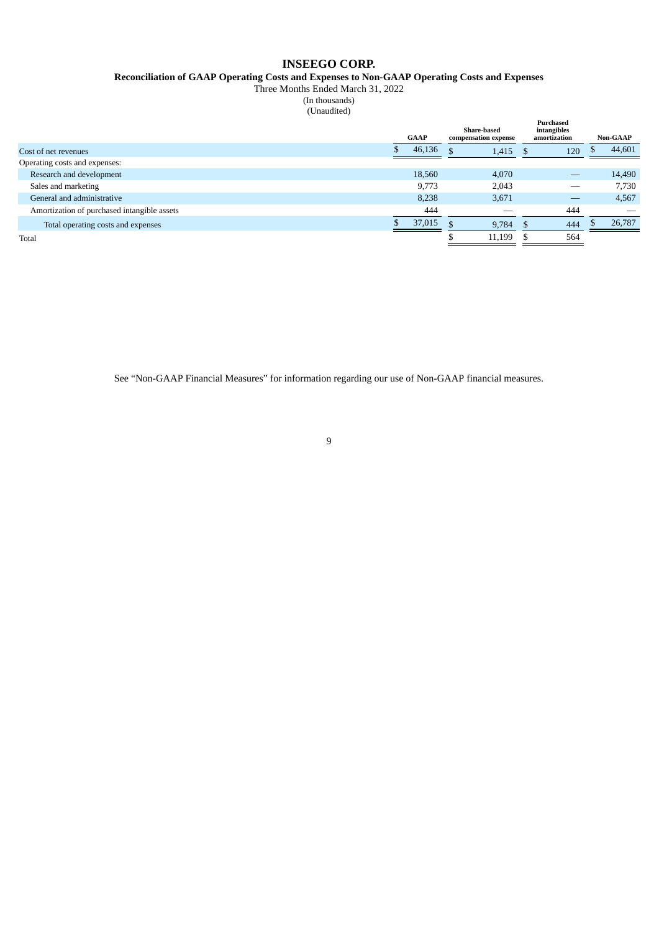## **INSEEGO CORP.**

**Reconciliation of GAAP Operating Costs and Expenses to Non-GAAP Operating Costs and Expenses**

Three Months Ended March 31, 2022

(In thousands)

(Unaudited)

|                                             | GAAP |        | Share-based<br>compensation expense |        | <b>Purchased</b><br>intangibles<br>amortization |     |    | <b>Non-GAAP</b> |
|---------------------------------------------|------|--------|-------------------------------------|--------|-------------------------------------------------|-----|----|-----------------|
| Cost of net revenues                        |      | 46,136 |                                     | 1,415  | . TD                                            | 120 | ٨D | 44,601          |
| Operating costs and expenses:               |      |        |                                     |        |                                                 |     |    |                 |
| Research and development                    |      | 18,560 |                                     | 4,070  |                                                 |     |    | 14,490          |
| Sales and marketing                         |      | 9,773  |                                     | 2,043  |                                                 |     |    | 7,730           |
| General and administrative                  |      | 8,238  |                                     | 3,671  |                                                 |     |    | 4,567           |
| Amortization of purchased intangible assets |      | 444    |                                     |        |                                                 | 444 |    |                 |
| Total operating costs and expenses          |      | 37,015 | c                                   | 9,784  |                                                 | 444 |    | 26,787          |
| Total                                       |      |        |                                     | 11,199 |                                                 | 564 |    |                 |

See "Non-GAAP Financial Measures" for information regarding our use of Non-GAAP financial measures.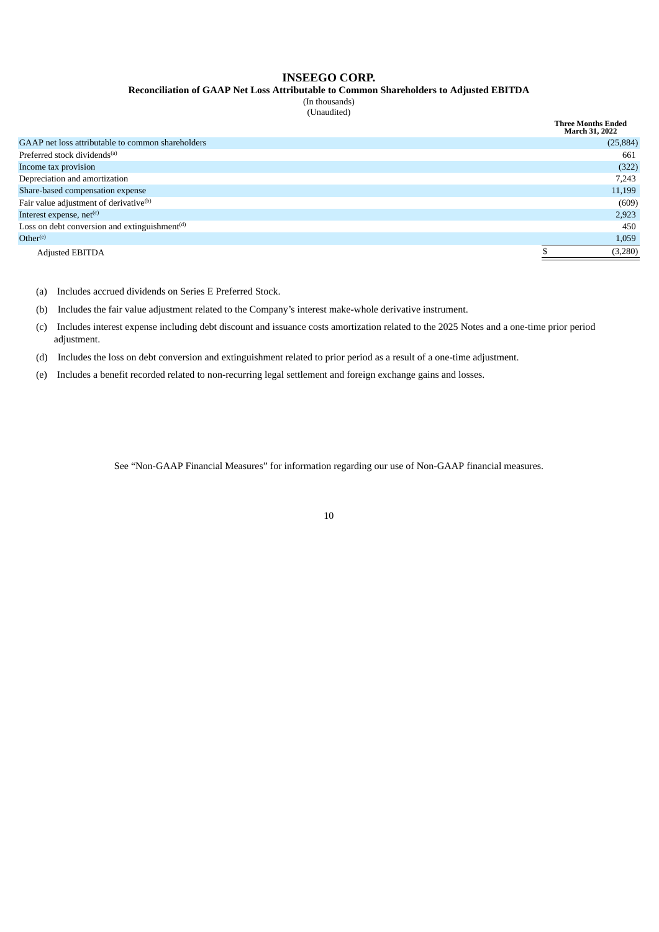## **INSEEGO CORP.**

**Reconciliation of GAAP Net Loss Attributable to Common Shareholders to Adjusted EBITDA**

(In thousands) (Unaudited)

|                                                           | <b>Three Months Ended</b><br><b>March 31, 2022</b> |
|-----------------------------------------------------------|----------------------------------------------------|
| GAAP net loss attributable to common shareholders         | (25, 884)                                          |
| Preferred stock dividends <sup>(a)</sup>                  | 661                                                |
| Income tax provision                                      | (322)                                              |
| Depreciation and amortization                             | 7,243                                              |
| Share-based compensation expense                          | 11,199                                             |
| Fair value adjustment of derivative <sup>(b)</sup>        | (609)                                              |
| Interest expense, net(c)                                  | 2,923                                              |
| Loss on debt conversion and extinguishment <sup>(d)</sup> | 450                                                |
| Other <sup>(e)</sup>                                      | 1,059                                              |
| <b>Adjusted EBITDA</b>                                    | (3,280)                                            |

(a) Includes accrued dividends on Series E Preferred Stock.

(b) Includes the fair value adjustment related to the Company's interest make-whole derivative instrument.

(c) Includes interest expense including debt discount and issuance costs amortization related to the 2025 Notes and a one-time prior period adjustment.

(d) Includes the loss on debt conversion and extinguishment related to prior period as a result of a one-time adjustment.

(e) Includes a benefit recorded related to non-recurring legal settlement and foreign exchange gains and losses.

See "Non-GAAP Financial Measures" for information regarding our use of Non-GAAP financial measures.